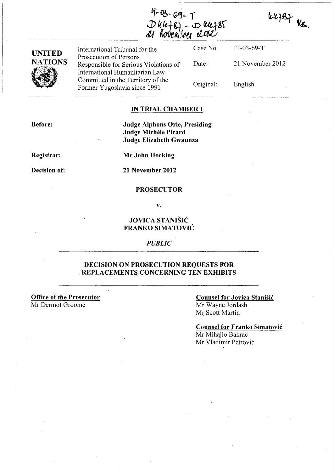$4 - 03 - 69 - 1$  $D$  uce  $g_1 - D$  uce  $285$ Koveniker 2012

WR787 Ne.



#### **IN TRIAL CHAMBER I**

**Before:** 

**Judge Alphons Orie, Presiding Judge Michele Picard Judge Elizabeth Gwaunza** 

**Registrar:** 

**Decision of:** 

**Mr John Hocking** 

**21 November 2012** 

#### **PROSECUTOR**

**v.** 

### **JOVICA STANISIC FRANKO SIMATOVIC**

*PUBLIC* 

#### **DECISION ON PROSECUTION REQUESTS FOR**  . **REPLACEMENTS CONCERNING TEN EXHIBITS**

**Office of the Prosecutor**  Mr Dermot Groome

#### **Counsel for Jovica Stanisic**  Mr Wayne lordash Mr Scott Martin

**Counsel for Franko Simatovic**  . Mr Mihajlo Bakrac

Mr Vladimir Petrovic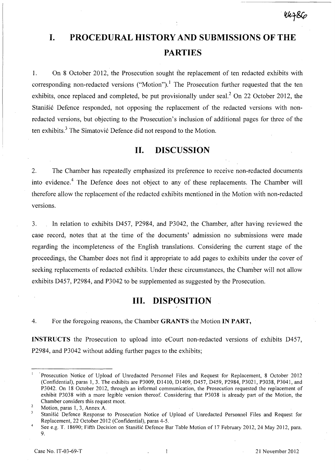# **I. PROCEDURAL HISTORY AND SUBMISSIONS OF THE PARTIES**

1. On 8 October 2012, the Prosecution sought the replacement of ten redacted exhibits with corresponding non-redacted versions ("Motion").<sup>1</sup> The Prosecution further requested that the ten exhibits, once replaced and completed, be put provisionally under seal.<sup>2</sup> On 22 October 2012, the Stanišić Defence responded, not opposing the replacement of the redacted versions with nonredacted versions, but objecting to the Prosecution's inclusion of additional pages for three of the ten exhibits.<sup>3</sup> The Simatović Defence did not respond to the Motion.

## **11. DISCUSSION**

2. The Chamber has repeatedly emphasized its preference to receive non-redacted documents into evidence.<sup>4</sup> The Defence does not object to any of these replacements. The Chamber will therefore allow the replacement of the redacted exhibits mentioned in the Motion with non-redacted versions.

3. **In** relation to exhibits D457, P2984, and P3042, the Chamber, after having reviewed the case record, notes that at the time of the documents' admission no submissions were made regarding the incompleteness of the English translations. Considering the current stage of the proceedings, the Chamber does not find it appropriate to add pages to exhibits under the cover of seeking replacements of redacted exhibits. Under these circumstances, the Chamber will not allow exhibits D457, P2984, and P3042 to be supplemented as suggested by the Prosecution.

## **Ill. DISPOSITION**

4. For the foregoing reasons, the Chamber **GRANTS** the Motion **IN PART,** 

**INSTRUCTS** the Prosecution to upload into eCourt non-redacted versions of exhibits D457, P2984, and P3042 without adding further pages to the exhibits;

44786

Prosecution Notice of Upload of Unredacted Personnel Files and Request for Replacement, 8 October 2012 (Confidential), paras 1,3. The exhibits are P3009, 01410, 01409, 0457, 0459, P2984, P3021, P3038, P3041, and P3042. On 18 October 2012, through an informal communication, the Prosecution requested the replacement of exhibit P3038 with a more legible version thereof. Considering that P3038 is already part of the Motion, the Chamber considers this request moot.

 $\overline{2}$ Motion, paras 1, 3, Annex A.

Stanišić Defence Response to Prosecution Notice of Upload of Unredacted Personnel Files and Request for Replacement, 22 October 2012 (Confidential), paras 4-5.

See e.g. T. 18690; Fifth Decision on Stanišić Defence Bar Table Motion of 17 February 2012, 24 May 2012, para. 9.